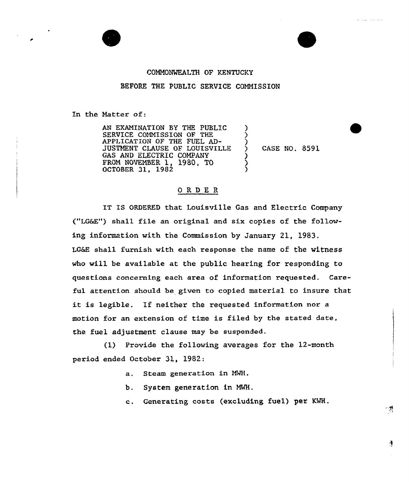

## COMMONWEALTH OF KENTUCKY

#### BEFORE THE PUBLIC SERVICE COMMISSION

In the Matter of:

AN EXANINATION BY THE PUBLIC SERVICE COMMISSION OF THE APPLICATION OF THE FUEL AD-JUSTMENT CLAUSE OF LOUISVILLE GAS AND ELECTRIC COMPANY FROM NOVEMBER 1, 1980, TO OCTOBER 31, 1982

) CASE NQ. 8591

)

<u>ز</u>

) ) )

# 0 R <sup>D</sup> E R

IT IS ORDERED that Louisville Gas and Electric Company ("LG6E") shall file an original and six copies of the following information with the Commission by January 21, 1983. LG&E shall furnish with each response the name of the witness who will be available at the public hearing for responding to questions concerning each area of information requested. Careful attention should be given to copied material to insure that it is legible. If neither the requested information nor <sup>a</sup> motion for an extension of time is filed by the stated date, the fuel adjustment clause may be suspended.

(1) Provide the following averages for the 12-month period ended October 31, 1982:

- a. Steam generation in NMH,
- b. System generation in MMH.
- c. Generating costs (excluding fuel) per KMH.

傅

्रष्ट्र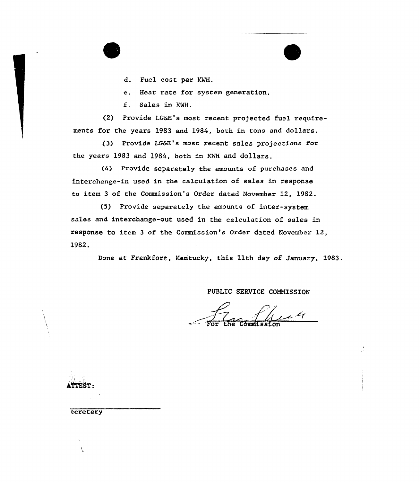d. Fuel cost per KMH.

e. Heat rate for system generation,

f. Sales in KWH.

(2} Provide LG&Z's most xecent projected fuel requirements for the years 1983 and 1984, both in tons and dollars.

(3) Provide LG&E's most recent sales pxojections for the years 1983 and 1984, both in KMH and dollars.

(4) Provide separately the amounts of purchases and interchange-in used in the calculation of sales in response to item 3 of the Commission's Order dated November 12, 1982.

(5) Provide separately the amounts of inter-system sales and interchange-out used in the calculation of sales in response to item 3 of the Commission's Ordex dated Novembex 12, 1982.

Done at Frankfort, Kentucky, this 11th day of January, 1983.

PUBLIC SERVICE COMMISSION

Commission

 $\mathcal{L}$ 

ecretary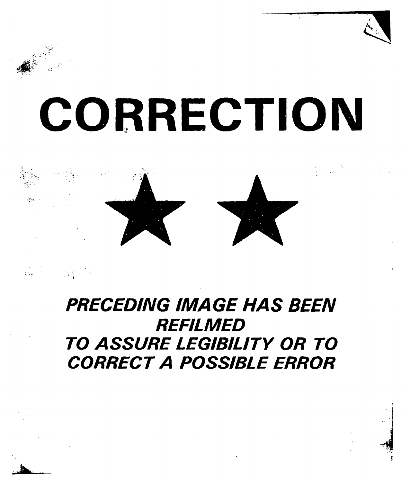# CORRECTION